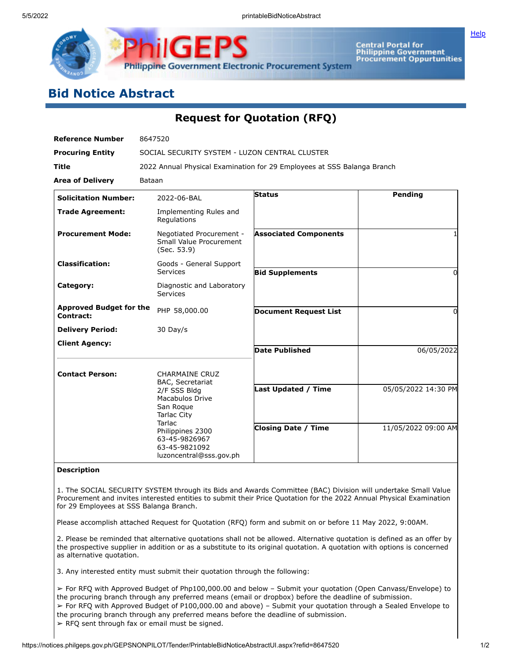

Central Portal for<br>Philippine Government<br>Procurement Oppurtunities

## **Bid Notice Abstract**

## **Request for Quotation (RFQ)**

| <b>Reference Number</b>                     | 8647520                                                                                                                                                                                                           |                              |                     |
|---------------------------------------------|-------------------------------------------------------------------------------------------------------------------------------------------------------------------------------------------------------------------|------------------------------|---------------------|
| <b>Procuring Entity</b>                     | SOCIAL SECURITY SYSTEM - LUZON CENTRAL CLUSTER                                                                                                                                                                    |                              |                     |
| <b>Title</b>                                | 2022 Annual Physical Examination for 29 Employees at SSS Balanga Branch                                                                                                                                           |                              |                     |
| <b>Area of Delivery</b>                     | Bataan                                                                                                                                                                                                            |                              |                     |
| <b>Solicitation Number:</b>                 | 2022-06-BAL                                                                                                                                                                                                       | Status                       | Pending             |
| <b>Trade Agreement:</b>                     | Implementing Rules and<br>Regulations                                                                                                                                                                             |                              |                     |
| <b>Procurement Mode:</b>                    | Negotiated Procurement -<br>Small Value Procurement<br>(Sec. 53.9)                                                                                                                                                | <b>Associated Components</b> |                     |
| <b>Classification:</b>                      | Goods - General Support<br>Services                                                                                                                                                                               | <b>Bid Supplements</b>       | 0                   |
| Category:                                   | Diagnostic and Laboratory<br>Services                                                                                                                                                                             |                              |                     |
| <b>Approved Budget for the</b><br>Contract: | PHP 58,000.00                                                                                                                                                                                                     | <b>Document Request List</b> | 0                   |
| <b>Delivery Period:</b>                     | 30 Day/s                                                                                                                                                                                                          |                              |                     |
| <b>Client Agency:</b>                       |                                                                                                                                                                                                                   | <b>Date Published</b>        | 06/05/2022          |
| <b>Contact Person:</b>                      | <b>CHARMAINE CRUZ</b><br>BAC, Secretariat<br>2/F SSS Bldg<br><b>Macabulos Drive</b><br>San Roque<br><b>Tarlac City</b><br>Tarlac<br>Philippines 2300<br>63-45-9826967<br>63-45-9821092<br>luzoncentral@sss.gov.ph | <b>Last Updated / Time</b>   | 05/05/2022 14:30 PM |
|                                             |                                                                                                                                                                                                                   | <b>Closing Date / Time</b>   | 11/05/2022 09:00 AM |

## **Description**

1. The SOCIAL SECURITY SYSTEM through its Bids and Awards Committee (BAC) Division will undertake Small Value Procurement and invites interested entities to submit their Price Quotation for the 2022 Annual Physical Examination for 29 Employees at SSS Balanga Branch.

Please accomplish attached Request for Quotation (RFQ) form and submit on or before 11 May 2022, 9:00AM.

2. Please be reminded that alternative quotations shall not be allowed. Alternative quotation is defined as an offer by the prospective supplier in addition or as a substitute to its original quotation. A quotation with options is concerned as alternative quotation.

3. Any interested entity must submit their quotation through the following:

➢ For RFQ with Approved Budget of Php100,000.00 and below – Submit your quotation (Open Canvass/Envelope) to the procuring branch through any preferred means (email or dropbox) before the deadline of submission. ➢ For RFQ with Approved Budget of P100,000.00 and above) – Submit your quotation through a Sealed Envelope to the procuring branch through any preferred means before the deadline of submission.  $\triangleright$  RFQ sent through fax or email must be signed.